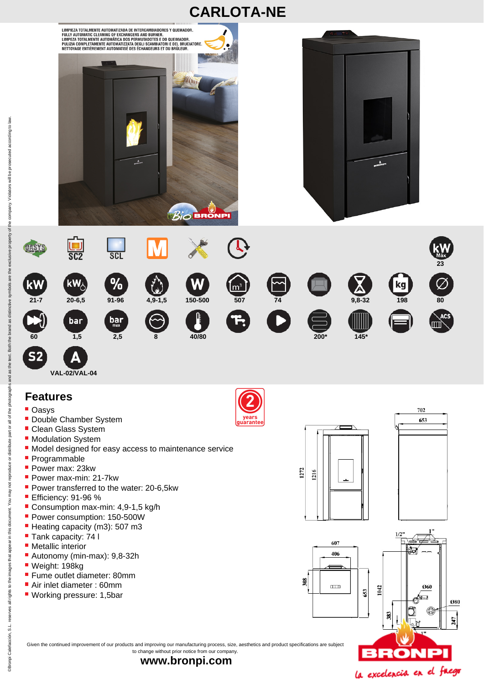



## **Features**

- **Oasys**
- **Double Chamber System**

**VAL-02/VAL-04** 

- **Clean Glass System**
- **Modulation System**
- Model designed for easy access to maintenance service
- **Programmable**
- Power max: 23kw
- Power max-min: 21-7kw
- Power transferred to the water: 20-6,5kw
- Efficiency: 91-96 %
- Consumption max-min: 4,9-1,5 kg/h
- Power consumption: 150-500W
- Heating capacity (m3): 507 m3
- Tank capacity: 74 l
- **Metallic interior**
- Autonomy (min-max): 9,8-32h
- Weight: 198kg
- **Fume outlet diameter: 80mm**
- Air inlet diameter : 60mm
- Working pressure: 1,5bar





702 653





247



company. Violators will be prosecuted according to law

the property of

the

583